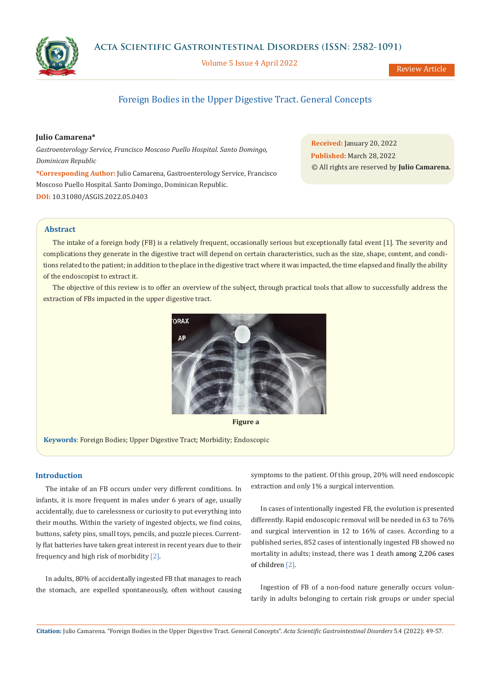

**Acta Scientific Gastrointestinal Disorders (ISSN: 2582-1091)**

Volume 5 Issue 4 April 2022

Review Article

# Foreign Bodies in the Upper Digestive Tract. General Concepts

## **Julio Camarena\***

*Gastroenterology Service, Francisco Moscoso Puello Hospital. Santo Domingo, Dominican Republic*

**\*Corresponding Author:** Julio Camarena, Gastroenterology Service, Francisco Moscoso Puello Hospital. Santo Domingo, Dominican Republic. **DOI:** [10.31080/ASGIS.2022.05.0403](https://actascientific.com/ASGIS/pdf/ASGIS-05-0403.pdf)

**Received:** January 20, 2022 **Published:** March 28, 2022 © All rights are reserved by **Julio Camarena***.* 

# **Abstract**

The intake of a foreign body (FB) is a relatively frequent, occasionally serious but exceptionally fatal event [1]. The severity and complications they generate in the digestive tract will depend on certain characteristics, such as the size, shape, content, and conditions related to the patient; in addition to the place in the digestive tract where it was impacted, the time elapsed and finally the ability of the endoscopist to extract it.

The objective of this review is to offer an overview of the subject, through practical tools that allow to successfully address the extraction of FBs impacted in the upper digestive tract.





**Keywords**: Foreign Bodies; Upper Digestive Tract; Morbidity; Endoscopic

# **Introduction**

The intake of an FB occurs under very different conditions. In infants, it is more frequent in males under 6 years of age, usually accidentally, due to carelessness or curiosity to put everything into their mouths. Within the variety of ingested objects, we find coins, buttons, safety pins, small toys, pencils, and puzzle pieces. Currently flat batteries have taken great interest in recent years due to their frequency and high risk of morbidity [2].

In adults, 80% of accidentally ingested FB that manages to reach the stomach, are expelled spontaneously, often without causing symptoms to the patient. Of this group, 20% will need endoscopic extraction and only 1% a surgical intervention.

In cases of intentionally ingested FB, the evolution is presented differently. Rapid endoscopic removal will be needed in 63 to 76% and surgical intervention in 12 to 16% of cases. According to a published series, 852 cases of intentionally ingested FB showed no mortality in adults; instead, there was 1 death among 2,206 cases of children [2].

Ingestion of FB of a non-food nature generally occurs voluntarily in adults belonging to certain risk groups or under special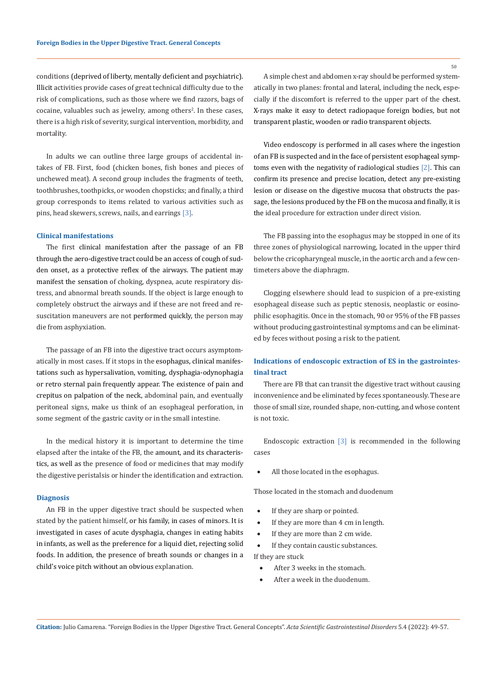conditions (deprived of liberty, mentally deficient and psychiatric). Illicit activities provide cases of great technical difficulty due to the risk of complications, such as those where we find razors, bags of cocaine, valuables such as jewelry, among others<sup>2</sup>. In these cases, there is a high risk of severity, surgical intervention, morbidity, and mortality.

In adults we can outline three large groups of accidental intakes of FB. First, food (chicken bones, fish bones and pieces of unchewed meat). A second group includes the fragments of teeth, toothbrushes, toothpicks, or wooden chopsticks; and finally, a third group corresponds to items related to various activities such as pins, head skewers, screws, nails, and earrings [3].

## **Clinical manifestations**

The first clinical manifestation after the passage of an FB through the aero-digestive tract could be an access of cough of sudden onset, as a protective reflex of the airways. The patient may manifest the sensation of choking, dyspnea, acute respiratory distress, and abnormal breath sounds. If the object is large enough to completely obstruct the airways and if these are not freed and resuscitation maneuvers are not performed quickly, the person may die from asphyxiation.

The passage of an FB into the digestive tract occurs asymptomatically in most cases. If it stops in the esophagus, clinical manifestations such as hypersalivation, vomiting, dysphagia-odynophagia or retro sternal pain frequently appear. The existence of pain and crepitus on palpation of the neck, abdominal pain, and eventually peritoneal signs, make us think of an esophageal perforation, in some segment of the gastric cavity or in the small intestine.

In the medical history it is important to determine the time elapsed after the intake of the FB, the amount, and its characteristics, as well as the presence of food or medicines that may modify the digestive peristalsis or hinder the identification and extraction.

#### **Diagnosis**

An FB in the upper digestive tract should be suspected when stated by the patient himself, or his family, in cases of minors. It is investigated in cases of acute dysphagia, changes in eating habits in infants, as well as the preference for a liquid diet, rejecting solid foods. In addition, the presence of breath sounds or changes in a child's voice pitch without an obvious explanation.

A simple chest and abdomen x-ray should be performed systematically in two planes: frontal and lateral, including the neck, especially if the discomfort is referred to the upper part of the chest. X-rays make it easy to detect radiopaque foreign bodies, but not transparent plastic, wooden or radio transparent objects.

Video endoscopy is performed in all cases where the ingestion of an FB is suspected and in the face of persistent esophageal symptoms even with the negativity of radiological studies [2]. This can confirm its presence and precise location, detect any pre-existing lesion or disease on the digestive mucosa that obstructs the passage, the lesions produced by the FB on the mucosa and finally, it is the ideal procedure for extraction under direct vision.

The FB passing into the esophagus may be stopped in one of its three zones of physiological narrowing, located in the upper third below the cricopharyngeal muscle, in the aortic arch and a few centimeters above the diaphragm.

Clogging elsewhere should lead to suspicion of a pre-existing esophageal disease such as peptic stenosis, neoplastic or eosinophilic esophagitis. Once in the stomach, 90 or 95% of the FB passes without producing gastrointestinal symptoms and can be eliminated by feces without posing a risk to the patient.

# **Indications of endoscopic extraction of ES in the gastrointestinal tract**

There are FB that can transit the digestive tract without causing inconvenience and be eliminated by feces spontaneously. These are those of small size, rounded shape, non-cutting, and whose content is not toxic.

Endoscopic extraction [3] is recommended in the following cases

All those located in the esophagus.

Those located in the stomach and duodenum

- If they are sharp or pointed.
- If they are more than 4 cm in length.
- If they are more than 2 cm wide.

• If they contain caustic substances. If they are stuck

- After 3 weeks in the stomach.
- After a week in the duodenum.

50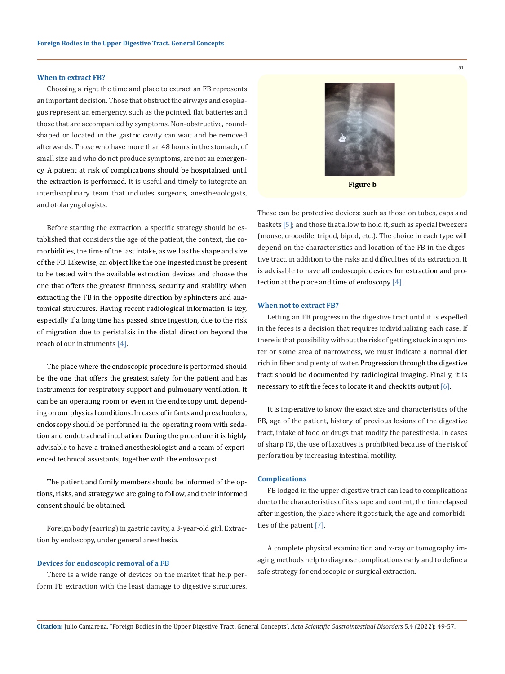### **When to extract FB?**

Choosing a right the time and place to extract an FB represents an important decision. Those that obstruct the airways and esophagus represent an emergency, such as the pointed, flat batteries and those that are accompanied by symptoms. Non-obstructive, roundshaped or located in the gastric cavity can wait and be removed afterwards. Those who have more than 48 hours in the stomach, of small size and who do not produce symptoms, are not an emergency. A patient at risk of complications should be hospitalized until the extraction is performed. It is useful and timely to integrate an interdisciplinary team that includes surgeons, anesthesiologists, and otolaryngologists.

Before starting the extraction, a specific strategy should be established that considers the age of the patient, the context, the comorbidities, the time of the last intake, as well as the shape and size of the FB. Likewise, an object like the one ingested must be present to be tested with the available extraction devices and choose the one that offers the greatest firmness, security and stability when extracting the FB in the opposite direction by sphincters and anatomical structures. Having recent radiological information is key, especially if a long time has passed since ingestion, due to the risk of migration due to peristalsis in the distal direction beyond the reach of our instruments [4].

The place where the endoscopic procedure is performed should be the one that offers the greatest safety for the patient and has instruments for respiratory support and pulmonary ventilation. It can be an operating room or even in the endoscopy unit, depending on our physical conditions. In cases of infants and preschoolers, endoscopy should be performed in the operating room with sedation and endotracheal intubation. During the procedure it is highly advisable to have a trained anesthesiologist and a team of experienced technical assistants, together with the endoscopist.

The patient and family members should be informed of the options, risks, and strategy we are going to follow, and their informed consent should be obtained.

Foreign body (earring) in gastric cavity, a 3-year-old girl. Extraction by endoscopy, under general anesthesia.

#### **Devices for endoscopic removal of a FB**

There is a wide range of devices on the market that help perform FB extraction with the least damage to digestive structures.

These can be protective devices: such as those on tubes, caps and baskets [5]; and those that allow to hold it, such as special tweezers (mouse, crocodile, tripod, bipod, etc.). The choice in each type will depend on the characteristics and location of the FB in the digestive tract, in addition to the risks and difficulties of its extraction. It is advisable to have all endoscopic devices for extraction and protection at the place and time of endoscopy [4].

### **When not to extract FB?**

Letting an FB progress in the digestive tract until it is expelled in the feces is a decision that requires individualizing each case. If there is that possibility without the risk of getting stuck in a sphincter or some area of narrowness, we must indicate a normal diet rich in fiber and plenty of water. Progression through the digestive tract should be documented by radiological imaging. Finally, it is necessary to sift the feces to locate it and check its output  $[6]$ .

It is imperative to know the exact size and characteristics of the FB, age of the patient, history of previous lesions of the digestive tract, intake of food or drugs that modify the paresthesia. In cases of sharp FB, the use of laxatives is prohibited because of the risk of perforation by increasing intestinal motility.

## **Complications**

FB lodged in the upper digestive tract can lead to complications due to the characteristics of its shape and content, the time elapsed after ingestion, the place where it got stuck, the age and comorbidities of the patient [7].

A complete physical examination and x-ray or tomography imaging methods help to diagnose complications early and to define a safe strategy for endoscopic or surgical extraction.

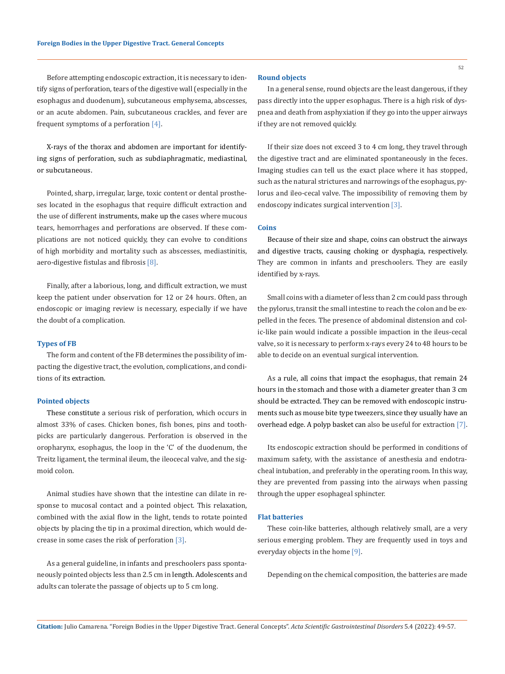Before attempting endoscopic extraction, it is necessary to identify signs of perforation, tears of the digestive wall (especially in the esophagus and duodenum), subcutaneous emphysema, abscesses, or an acute abdomen. Pain, subcutaneous crackles, and fever are frequent symptoms of a perforation  $[4]$ .

X-rays of the thorax and abdomen are important for identifying signs of perforation, such as subdiaphragmatic, mediastinal, or subcutaneous.

Pointed, sharp, irregular, large, toxic content or dental prostheses located in the esophagus that require difficult extraction and the use of different instruments, make up the cases where mucous tears, hemorrhages and perforations are observed. If these complications are not noticed quickly, they can evolve to conditions of high morbidity and mortality such as abscesses, mediastinitis, aero-digestive fistulas and fibrosis [8].

Finally, after a laborious, long, and difficult extraction, we must keep the patient under observation for 12 or 24 hours. Often, an endoscopic or imaging review is necessary, especially if we have the doubt of a complication.

#### **Types of FB**

The form and content of the FB determines the possibility of impacting the digestive tract, the evolution, complications, and conditions of its extraction.

## **Pointed objects**

These constitute a serious risk of perforation, which occurs in almost 33% of cases. Chicken bones, fish bones, pins and toothpicks are particularly dangerous. Perforation is observed in the oropharynx, esophagus, the loop in the 'C' of the duodenum, the Treitz ligament, the terminal ileum, the ileocecal valve, and the sigmoid colon.

Animal studies have shown that the intestine can dilate in response to mucosal contact and a pointed object. This relaxation, combined with the axial flow in the light, tends to rotate pointed objects by placing the tip in a proximal direction, which would decrease in some cases the risk of perforation [3].

As a general guideline, in infants and preschoolers pass spontaneously pointed objects less than 2.5 cm in length. Adolescents and adults can tolerate the passage of objects up to 5 cm long.

## **Round objects**

In a general sense, round objects are the least dangerous, if they pass directly into the upper esophagus. There is a high risk of dyspnea and death from asphyxiation if they go into the upper airways if they are not removed quickly.

If their size does not exceed 3 to 4 cm long, they travel through the digestive tract and are eliminated spontaneously in the feces. Imaging studies can tell us the exact place where it has stopped, such as the natural strictures and narrowings of the esophagus, pylorus and ileo-cecal valve. The impossibility of removing them by endoscopy indicates surgical intervention [3].

# **Coins**

Because of their size and shape, coins can obstruct the airways and digestive tracts, causing choking or dysphagia, respectively. They are common in infants and preschoolers. They are easily identified by x-rays.

Small coins with a diameter of less than 2 cm could pass through the pylorus, transit the small intestine to reach the colon and be expelled in the feces. The presence of abdominal distension and colic-like pain would indicate a possible impaction in the ileus-cecal valve, so it is necessary to perform x-rays every 24 to 48 hours to be able to decide on an eventual surgical intervention.

As a rule, all coins that impact the esophagus, that remain 24 hours in the stomach and those with a diameter greater than 3 cm should be extracted. They can be removed with endoscopic instruments such as mouse bite type tweezers, since they usually have an overhead edge. A polyp basket can also be useful for extraction [7].

Its endoscopic extraction should be performed in conditions of maximum safety, with the assistance of anesthesia and endotracheal intubation, and preferably in the operating room. In this way, they are prevented from passing into the airways when passing through the upper esophageal sphincter.

## **Flat batteries**

These coin-like batteries, although relatively small, are a very serious emerging problem. They are frequently used in toys and everyday objects in the home [9].

Depending on the chemical composition, the batteries are made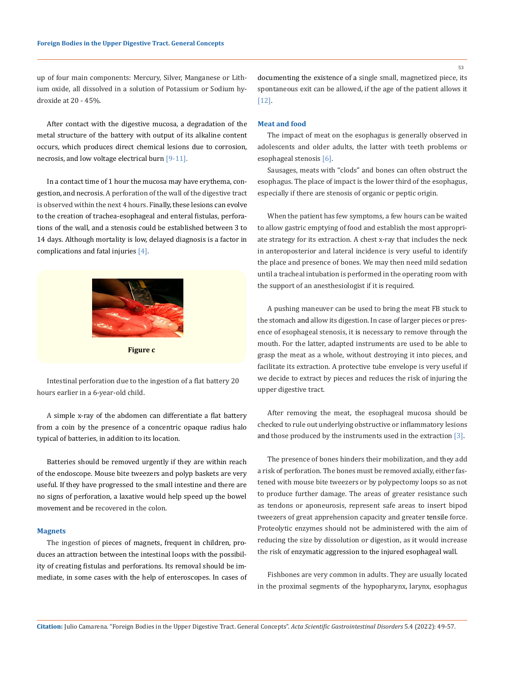up of four main components: Mercury, Silver, Manganese or Lithium oxide, all dissolved in a solution of Potassium or Sodium hydroxide at 20 - 45%.

After contact with the digestive mucosa, a degradation of the metal structure of the battery with output of its alkaline content occurs, which produces direct chemical lesions due to corrosion, necrosis, and low voltage electrical burn [9-11].

In a contact time of 1 hour the mucosa may have erythema, congestion, and necrosis. A perforation of the wall of the digestive tract is observed within the next 4 hours. Finally, these lesions can evolve to the creation of trachea-esophageal and enteral fistulas, perforations of the wall, and a stenosis could be established between 3 to 14 days. Although mortality is low, delayed diagnosis is a factor in complications and fatal injuries [4].



**Figure c**

Intestinal perforation due to the ingestion of a flat battery 20 hours earlier in a 6-year-old child.

A simple x-ray of the abdomen can differentiate a flat battery from a coin by the presence of a concentric opaque radius halo typical of batteries, in addition to its location.

Batteries should be removed urgently if they are within reach of the endoscope. Mouse bite tweezers and polyp baskets are very useful. If they have progressed to the small intestine and there are no signs of perforation, a laxative would help speed up the bowel movement and be recovered in the colon.

#### **Magnets**

The ingestion of pieces of magnets, frequent in children, produces an attraction between the intestinal loops with the possibility of creating fistulas and perforations. Its removal should be immediate, in some cases with the help of enteroscopes. In cases of documenting the existence of a single small, magnetized piece, its spontaneous exit can be allowed, if the age of the patient allows it [12].

## **Meat and food**

The impact of meat on the esophagus is generally observed in adolescents and older adults, the latter with teeth problems or esophageal stenosis [6].

Sausages, meats with "clods" and bones can often obstruct the esophagus. The place of impact is the lower third of the esophagus, especially if there are stenosis of organic or peptic origin.

When the patient has few symptoms, a few hours can be waited to allow gastric emptying of food and establish the most appropriate strategy for its extraction. A chest x-ray that includes the neck in anteroposterior and lateral incidence is very useful to identify the place and presence of bones. We may then need mild sedation until a tracheal intubation is performed in the operating room with the support of an anesthesiologist if it is required.

A pushing maneuver can be used to bring the meat FB stuck to the stomach and allow its digestion. In case of larger pieces or presence of esophageal stenosis, it is necessary to remove through the mouth. For the latter, adapted instruments are used to be able to grasp the meat as a whole, without destroying it into pieces, and facilitate its extraction. A protective tube envelope is very useful if we decide to extract by pieces and reduces the risk of injuring the upper digestive tract.

After removing the meat, the esophageal mucosa should be checked to rule out underlying obstructive or inflammatory lesions and those produced by the instruments used in the extraction [3].

The presence of bones hinders their mobilization, and they add a risk of perforation. The bones must be removed axially, either fastened with mouse bite tweezers or by polypectomy loops so as not to produce further damage. The areas of greater resistance such as tendons or aponeurosis, represent safe areas to insert bipod tweezers of great apprehension capacity and greater tensile force. Proteolytic enzymes should not be administered with the aim of reducing the size by dissolution or digestion, as it would increase the risk of enzymatic aggression to the injured esophageal wall.

Fishbones are very common in adults. They are usually located in the proximal segments of the hypopharynx, larynx, esophagus

53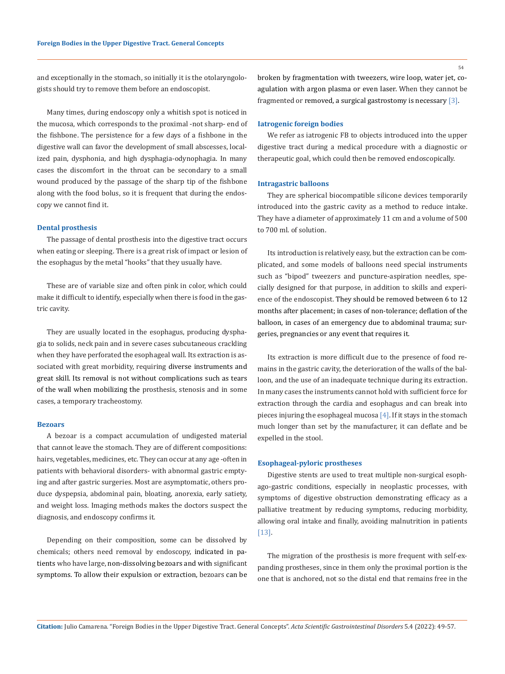and exceptionally in the stomach, so initially it is the otolaryngologists should try to remove them before an endoscopist.

Many times, during endoscopy only a whitish spot is noticed in the mucosa, which corresponds to the proximal -not sharp- end of the fishbone. The persistence for a few days of a fishbone in the digestive wall can favor the development of small abscesses, localized pain, dysphonia, and high dysphagia-odynophagia. In many cases the discomfort in the throat can be secondary to a small wound produced by the passage of the sharp tip of the fishbone along with the food bolus, so it is frequent that during the endoscopy we cannot find it.

## **Dental prosthesis**

The passage of dental prosthesis into the digestive tract occurs when eating or sleeping. There is a great risk of impact or lesion of the esophagus by the metal "hooks" that they usually have.

These are of variable size and often pink in color, which could make it difficult to identify, especially when there is food in the gastric cavity.

They are usually located in the esophagus, producing dysphagia to solids, neck pain and in severe cases subcutaneous crackling when they have perforated the esophageal wall. Its extraction is associated with great morbidity, requiring diverse instruments and great skill. Its removal is not without complications such as tears of the wall when mobilizing the prosthesis, stenosis and in some cases, a temporary tracheostomy.

#### **Bezoars**

A bezoar is a compact accumulation of undigested material that cannot leave the stomach. They are of different compositions: hairs, vegetables, medicines, etc. They can occur at any age -often in patients with behavioral disorders- with abnormal gastric emptying and after gastric surgeries. Most are asymptomatic, others produce dyspepsia, abdominal pain, bloating, anorexia, early satiety, and weight loss. Imaging methods makes the doctors suspect the diagnosis, and endoscopy confirms it.

Depending on their composition, some can be dissolved by chemicals; others need removal by endoscopy, indicated in patients who have large, non-dissolving bezoars and with significant symptoms. To allow their expulsion or extraction, bezoars can be

broken by fragmentation with tweezers, wire loop, water jet, coagulation with argon plasma or even laser. When they cannot be fragmented or removed, a surgical gastrostomy is necessary [3].

# **Iatrogenic foreign bodies**

We refer as iatrogenic FB to objects introduced into the upper digestive tract during a medical procedure with a diagnostic or therapeutic goal, which could then be removed endoscopically.

#### **Intragastric balloons**

They are spherical biocompatible silicone devices temporarily introduced into the gastric cavity as a method to reduce intake. They have a diameter of approximately 11 cm and a volume of 500 to 700 ml. of solution.

Its introduction is relatively easy, but the extraction can be complicated, and some models of balloons need special instruments such as "bipod" tweezers and puncture-aspiration needles, specially designed for that purpose, in addition to skills and experience of the endoscopist. They should be removed between 6 to 12 months after placement; in cases of non-tolerance; deflation of the balloon, in cases of an emergency due to abdominal trauma; surgeries, pregnancies or any event that requires it.

Its extraction is more difficult due to the presence of food remains in the gastric cavity, the deterioration of the walls of the balloon, and the use of an inadequate technique during its extraction. In many cases the instruments cannot hold with sufficient force for extraction through the cardia and esophagus and can break into pieces injuring the esophageal mucosa [4]. If it stays in the stomach much longer than set by the manufacturer, it can deflate and be expelled in the stool.

## **Esophageal-pyloric prostheses**

Digestive stents are used to treat multiple non-surgical esophago-gastric conditions, especially in neoplastic processes, with symptoms of digestive obstruction demonstrating efficacy as a palliative treatment by reducing symptoms, reducing morbidity, allowing oral intake and finally, avoiding malnutrition in patients [13].

The migration of the prosthesis is more frequent with self-expanding prostheses, since in them only the proximal portion is the one that is anchored, not so the distal end that remains free in the

54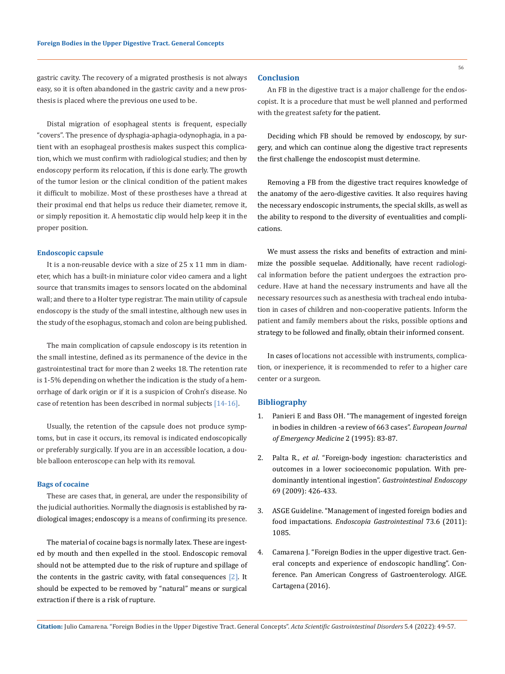gastric cavity. The recovery of a migrated prosthesis is not always easy, so it is often abandoned in the gastric cavity and a new prosthesis is placed where the previous one used to be.

Distal migration of esophageal stents is frequent, especially "covers". The presence of dysphagia-aphagia-odynophagia, in a patient with an esophageal prosthesis makes suspect this complication, which we must confirm with radiological studies; and then by endoscopy perform its relocation, if this is done early. The growth of the tumor lesion or the clinical condition of the patient makes it difficult to mobilize. Most of these prostheses have a thread at their proximal end that helps us reduce their diameter, remove it, or simply reposition it. A hemostatic clip would help keep it in the proper position.

#### **Endoscopic capsule**

It is a non-reusable device with a size of 25 x 11 mm in diameter, which has a built-in miniature color video camera and a light source that transmits images to sensors located on the abdominal wall; and there to a Holter type registrar. The main utility of capsule endoscopy is the study of the small intestine, although new uses in the study of the esophagus, stomach and colon are being published.

The main complication of capsule endoscopy is its retention in the small intestine, defined as its permanence of the device in the gastrointestinal tract for more than 2 weeks 18. The retention rate is 1-5% depending on whether the indication is the study of a hemorrhage of dark origin or if it is a suspicion of Crohn's disease. No case of retention has been described in normal subjects [14-16].

Usually, the retention of the capsule does not produce symptoms, but in case it occurs, its removal is indicated endoscopically or preferably surgically. If you are in an accessible location, a double balloon enteroscope can help with its removal.

#### **Bags of cocaine**

These are cases that, in general, are under the responsibility of the judicial authorities. Normally the diagnosis is established by radiological images; endoscopy is a means of confirming its presence.

The material of cocaine bags is normally latex. These are ingested by mouth and then expelled in the stool. Endoscopic removal should not be attempted due to the risk of rupture and spillage of the contents in the gastric cavity, with fatal consequences [2]. It should be expected to be removed by "natural" means or surgical extraction if there is a risk of rupture.

#### **Conclusion**

An FB in the digestive tract is a major challenge for the endoscopist. It is a procedure that must be well planned and performed with the greatest safety for the patient.

Deciding which FB should be removed by endoscopy, by surgery, and which can continue along the digestive tract represents the first challenge the endoscopist must determine.

Removing a FB from the digestive tract requires knowledge of the anatomy of the aero-digestive cavities. It also requires having the necessary endoscopic instruments, the special skills, as well as the ability to respond to the diversity of eventualities and complications.

We must assess the risks and benefits of extraction and minimize the possible sequelae. Additionally, have recent radiological information before the patient undergoes the extraction procedure. Have at hand the necessary instruments and have all the necessary resources such as anesthesia with tracheal endo intubation in cases of children and non-cooperative patients. Inform the patient and family members about the risks, possible options and strategy to be followed and finally, obtain their informed consent.

In cases of locations not accessible with instruments, complication, or inexperience, it is recommended to refer to a higher care center or a surgeon.

# **Bibliography**

- 1. Panieri E and Bass OH. "The management of ingested foreign in bodies in children -a review of 663 cases". *European Journal of Emergency Medicine* 2 (1995): 83-87.
- 2. Palta R., *et al*[. "Foreign-body ingestion: characteristics and](https://pubmed.ncbi.nlm.nih.gov/19019363/) [outcomes in a lower socioeconomic population. With pre](https://pubmed.ncbi.nlm.nih.gov/19019363/)[dominantly intentional ingestion".](https://pubmed.ncbi.nlm.nih.gov/19019363/) *Gastrointestinal Endoscopy*  [69 \(2009\): 426-433.](https://pubmed.ncbi.nlm.nih.gov/19019363/)
- 3. [ASGE Guideline. "Management of ingested foreign bodies and](https://pubmed.ncbi.nlm.nih.gov/21628009/) food impactations. *[Endoscopia Gastrointestinal](https://pubmed.ncbi.nlm.nih.gov/21628009/)* 73.6 (2011): [1085.](https://pubmed.ncbi.nlm.nih.gov/21628009/)
- 4. Camarena J. "Foreign Bodies in the upper digestive tract. General concepts and experience of endoscopic handling". Conference. Pan American Congress of Gastroenterology. AIGE. Cartagena (2016).

**Citation:** Julio Camarena*.* "Foreign Bodies in the Upper Digestive Tract. General Concepts". *Acta Scientific Gastrointestinal Disorders* 5.4 (2022): 49-57.